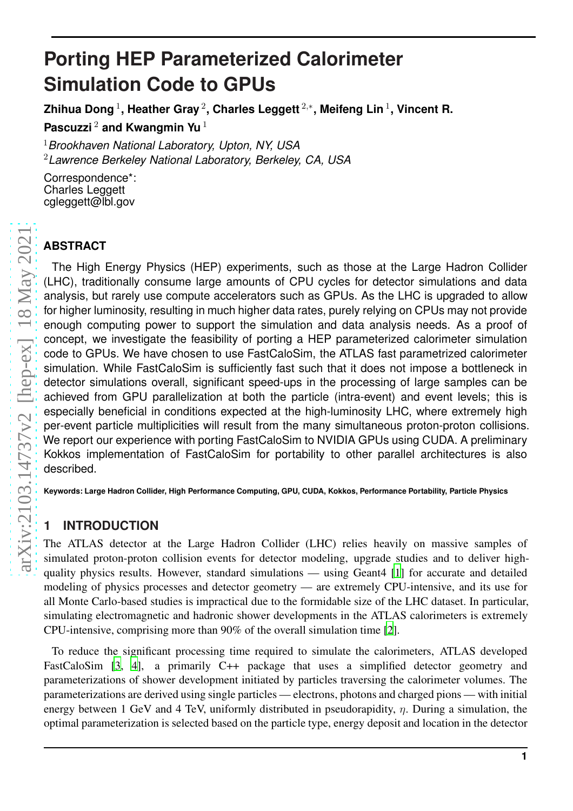# **Porting HEP Parameterized Calorimeter Simulation Code to GPUs**

**Zhihua Dong** 1 **, Heather Gray** 2 **, Charles Leggett** 2 , ∗ **, Meifeng Lin** 1 **, Vincent R.**

**Pascuzzi** <sup>2</sup> **and Kwangmin Yu** 1

<sup>1</sup>*Brookhaven National Laboratory, Upton, NY, USA* <sup>2</sup>*Lawrence Berkeley National Laboratory, Berkeley, CA, USA*

Correspondence\*: Charles Leggett cgleggett@lbl.gov

# **ABSTRACT**

The High Energy Physics (HEP) experiments, such as those at the Large Hadron Collider (LHC), traditionally consume large amounts of CPU cycles for detector simulations and data analysis, but rarely use compute accelerators such as GPUs. As the LHC is upgraded to allow for higher luminosity, resulting in much higher data rates, purely relying on CPUs may not provide enough computing power to support the simulation and data analysis needs. As a proof of concept, we investigate the feasibility of porting a HEP parameterized calorimeter simulation code to GPUs. We have chosen to use FastCaloSim, the ATLAS fast parametrized calorimeter simulation. While FastCaloSim is sufficiently fast such that it does not impose a bottleneck in detector simulations overall, significant speed-ups in the processing of large samples can be achieved from GPU parallelization at both the particle (intra-event) and event levels; this is especially beneficial in conditions expected at the high-luminosity LHC, where extremely high per-event particle multiplicities will result from the many simultaneous proton-proton collisions. We report our experience with porting FastCaloSim to NVIDIA GPUs using CUDA. A preliminary Kokkos implementation of FastCaloSim for portability to other parallel architectures is also described.

**Keywords: Large Hadron Collider, High Performance Computing, GPU, CUDA, Kokkos, Performance Portability, Particle Physics**

# **1 INTRODUCTION**

The ATLAS detector at the Large Hadron Collider (LHC) relies heavily on massive samples of simulated proton-proton collision events for detector modeling, upgrade studies and to deliver highquality physics results. However, standard simulations — using Geant4 [\[1](#page-13-0)] for accurate and detailed modeling of physics processes and detector geometry — are extremely CPU-intensive, and its use for all Monte Carlo-based studies is impractical due to the formidable size of the LHC dataset. In particular, simulating electromagnetic and hadronic shower developments in the ATLAS calorimeters is extremely CPU-intensive, comprising more than 90% of the overall simulation time [\[2](#page-13-1)].

To reduce the significant processing time required to simulate the calorimeters, ATLAS developed FastCaloSim [\[3](#page-13-2), [4\]](#page-13-3), a primarily C++ package that uses a simplified detector geometry and parameterizations of shower development initiated by particles traversing the calorimeter volumes. The parameterizations are derived using single particles — electrons, photons and charged pions — with initial energy between 1 GeV and 4 TeV, uniformly distributed in pseudorapidity,  $\eta$ . During a simulation, the optimal parameterization is selected based on the particle type, energy deposit and location in the detector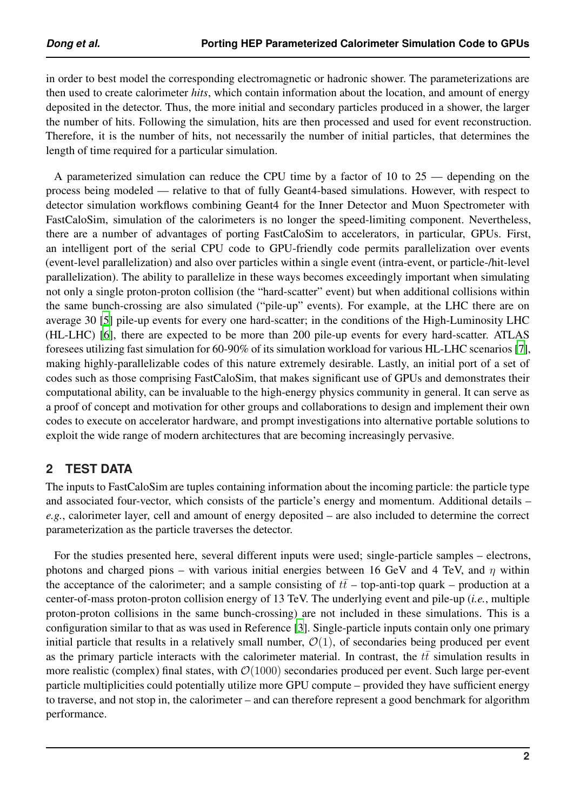in order to best model the corresponding electromagnetic or hadronic shower. The parameterizations are then used to create calorimeter *hits*, which contain information about the location, and amount of energy deposited in the detector. Thus, the more initial and secondary particles produced in a shower, the larger the number of hits. Following the simulation, hits are then processed and used for event reconstruction. Therefore, it is the number of hits, not necessarily the number of initial particles, that determines the length of time required for a particular simulation.

A parameterized simulation can reduce the CPU time by a factor of 10 to 25 — depending on the process being modeled — relative to that of fully Geant4-based simulations. However, with respect to detector simulation workflows combining Geant4 for the Inner Detector and Muon Spectrometer with FastCaloSim, simulation of the calorimeters is no longer the speed-limiting component. Nevertheless, there are a number of advantages of porting FastCaloSim to accelerators, in particular, GPUs. First, an intelligent port of the serial CPU code to GPU-friendly code permits parallelization over events (event-level parallelization) and also over particles within a single event (intra-event, or particle-/hit-level parallelization). The ability to parallelize in these ways becomes exceedingly important when simulating not only a single proton-proton collision (the "hard-scatter" event) but when additional collisions within the same bunch-crossing are also simulated ("pile-up" events). For example, at the LHC there are on average 30 [\[5](#page-13-4)] pile-up events for every one hard-scatter; in the conditions of the High-Luminosity LHC (HL-LHC) [\[6\]](#page-13-5), there are expected to be more than 200 pile-up events for every hard-scatter. ATLAS foresees utilizing fast simulation for 60-90% of its simulation workload for various HL-LHC scenarios [\[7](#page-13-6)], making highly-parallelizable codes of this nature extremely desirable. Lastly, an initial port of a set of codes such as those comprising FastCaloSim, that makes significant use of GPUs and demonstrates their computational ability, can be invaluable to the high-energy physics community in general. It can serve as a proof of concept and motivation for other groups and collaborations to design and implement their own codes to execute on accelerator hardware, and prompt investigations into alternative portable solutions to exploit the wide range of modern architectures that are becoming increasingly pervasive.

# <span id="page-1-0"></span>**2 TEST DATA**

The inputs to FastCaloSim are tuples containing information about the incoming particle: the particle type and associated four-vector, which consists of the particle's energy and momentum. Additional details – *e.g.*, calorimeter layer, cell and amount of energy deposited – are also included to determine the correct parameterization as the particle traverses the detector.

For the studies presented here, several different inputs were used; single-particle samples – electrons, photons and charged pions – with various initial energies between 16 GeV and 4 TeV, and  $\eta$  within the acceptance of the calorimeter; and a sample consisting of  $t\bar{t}$  – top-anti-top quark – production at a center-of-mass proton-proton collision energy of 13 TeV. The underlying event and pile-up (*i.e.*, multiple proton-proton collisions in the same bunch-crossing) are not included in these simulations. This is a configuration similar to that as was used in Reference [\[3](#page-13-2)]. Single-particle inputs contain only one primary initial particle that results in a relatively small number,  $\mathcal{O}(1)$ , of secondaries being produced per event as the primary particle interacts with the calorimeter material. In contrast, the  $t\bar{t}$  simulation results in more realistic (complex) final states, with  $\mathcal{O}(1000)$  secondaries produced per event. Such large per-event particle multiplicities could potentially utilize more GPU compute – provided they have sufficient energy to traverse, and not stop in, the calorimeter – and can therefore represent a good benchmark for algorithm performance.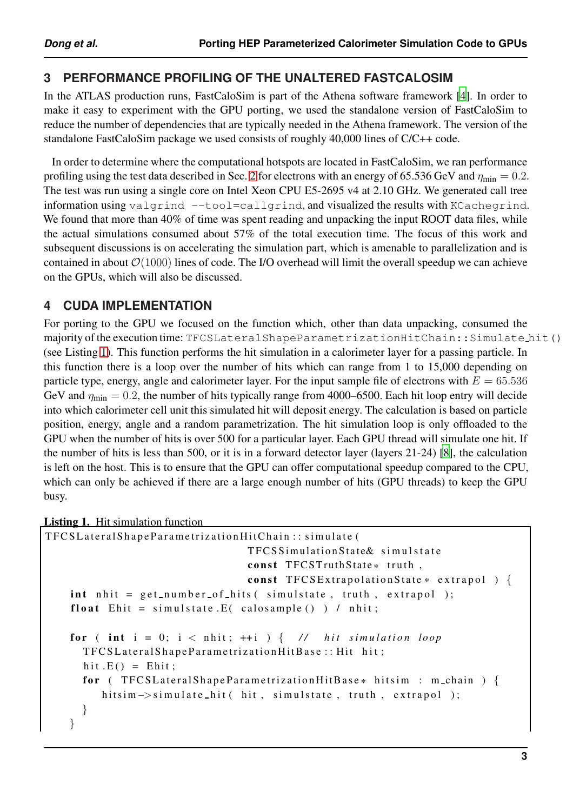# **3 PERFORMANCE PROFILING OF THE UNALTERED FASTCALOSIM**

In the ATLAS production runs, FastCaloSim is part of the Athena software framework [\[4\]](#page-13-3). In order to make it easy to experiment with the GPU porting, we used the standalone version of FastCaloSim to reduce the number of dependencies that are typically needed in the Athena framework. The version of the standalone FastCaloSim package we used consists of roughly 40,000 lines of C/C++ code.

In order to determine where the computational hotspots are located in FastCaloSim, we ran performance profiling using the test data described in Sec. [2](#page-1-0) for electrons with an energy of 65.536 GeV and  $\eta_{\text{min}} = 0.2$ . The test was run using a single core on Intel Xeon CPU E5-2695 v4 at 2.10 GHz. We generated call tree information using valgrind --tool=callgrind, and visualized the results with KCachegrind. We found that more than 40% of time was spent reading and unpacking the input ROOT data files, while the actual simulations consumed about 57% of the total execution time. The focus of this work and subsequent discussions is on accelerating the simulation part, which is amenable to parallelization and is contained in about  $\mathcal{O}(1000)$  lines of code. The I/O overhead will limit the overall speedup we can achieve on the GPUs, which will also be discussed.

# **4 CUDA IMPLEMENTATION**

For porting to the GPU we focused on the function which, other than data unpacking, consumed the majority of the execution time: TFCSLateralShapeParametrizationHitChain:: Simulate hit() (see Listing [1\)](#page-2-0). This function performs the hit simulation in a calorimeter layer for a passing particle. In this function there is a loop over the number of hits which can range from 1 to 15,000 depending on particle type, energy, angle and calorimeter layer. For the input sample file of electrons with  $E = 65.536$ GeV and  $\eta_{\text{min}} = 0.2$ , the number of hits typically range from 4000–6500. Each hit loop entry will decide into which calorimeter cell unit this simulated hit will deposit energy. The calculation is based on particle position, energy, angle and a random parametrization. The hit simulation loop is only offloaded to the GPU when the number of hits is over 500 for a particular layer. Each GPU thread will simulate one hit. If the number of hits is less than 500, or it is in a forward detector layer (layers 21-24) [\[8](#page-13-7)], the calculation is left on the host. This is to ensure that the GPU can offer computational speedup compared to the CPU, which can only be achieved if there are a large enough number of hits (GPU threads) to keep the GPU busy.

#### <span id="page-2-0"></span>Listing 1. Hit simulation function

```
TFCSLateralShapeParametrizationHitChain:: simulate (
                                 TFCS Simulation State & simulstate
                                 const TFCSTruthState* truth,
                                 const TFCSExtrapolationState * extrapol ) {
    int \; nht = get_number_of_hits(\; simulstate, truth, extrapol);\;float Ehit = simulstate. E(calosample()) / nhit;
    for \int int i = 0; i < nhit; ++ i ) \int // hit simulation loop
      TFCSLateralShapeParametrizationHitBase:: Hit hit;
      hit .E() = Ehit;
      for ( TFCSLateralShapeParametrizationHitBase* hitsim : m_chain ) {
         hitsim ->simulate_hit ( hit, simulstate, truth, extrapol );
      }
    }
```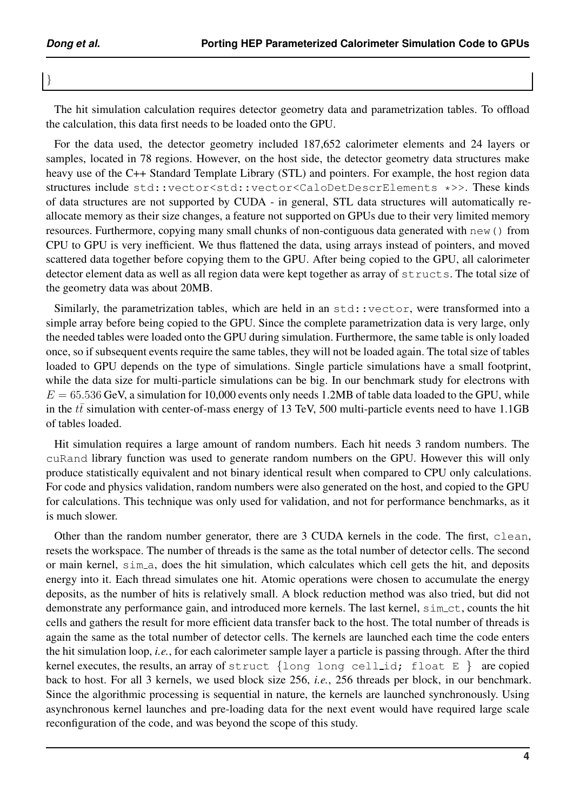}

The hit simulation calculation requires detector geometry data and parametrization tables. To offload the calculation, this data first needs to be loaded onto the GPU.

For the data used, the detector geometry included 187,652 calorimeter elements and 24 layers or samples, located in 78 regions. However, on the host side, the detector geometry data structures make heavy use of the C++ Standard Template Library (STL) and pointers. For example, the host region data structures include std::vector<std::vector<CaloDetDescrElements \*>>. These kinds of data structures are not supported by CUDA - in general, STL data structures will automatically reallocate memory as their size changes, a feature not supported on GPUs due to their very limited memory resources. Furthermore, copying many small chunks of non-contiguous data generated with new() from CPU to GPU is very inefficient. We thus flattened the data, using arrays instead of pointers, and moved scattered data together before copying them to the GPU. After being copied to the GPU, all calorimeter detector element data as well as all region data were kept together as array of  $structs$ . The total size of the geometry data was about 20MB.

Similarly, the parametrization tables, which are held in an std::vector, were transformed into a simple array before being copied to the GPU. Since the complete parametrization data is very large, only the needed tables were loaded onto the GPU during simulation. Furthermore, the same table is only loaded once, so if subsequent events require the same tables, they will not be loaded again. The total size of tables loaded to GPU depends on the type of simulations. Single particle simulations have a small footprint, while the data size for multi-particle simulations can be big. In our benchmark study for electrons with  $E = 65.536$  GeV, a simulation for 10,000 events only needs 1.2MB of table data loaded to the GPU, while in the  $t\bar{t}$  simulation with center-of-mass energy of 13 TeV, 500 multi-particle events need to have 1.1GB of tables loaded.

Hit simulation requires a large amount of random numbers. Each hit needs 3 random numbers. The cuRand library function was used to generate random numbers on the GPU. However this will only produce statistically equivalent and not binary identical result when compared to CPU only calculations. For code and physics validation, random numbers were also generated on the host, and copied to the GPU for calculations. This technique was only used for validation, and not for performance benchmarks, as it is much slower.

Other than the random number generator, there are 3 CUDA kernels in the code. The first, clean, resets the workspace. The number of threads is the same as the total number of detector cells. The second or main kernel, sim a, does the hit simulation, which calculates which cell gets the hit, and deposits energy into it. Each thread simulates one hit. Atomic operations were chosen to accumulate the energy deposits, as the number of hits is relatively small. A block reduction method was also tried, but did not demonstrate any performance gain, and introduced more kernels. The last kernel,  $\sin$ -ct, counts the hit cells and gathers the result for more efficient data transfer back to the host. The total number of threads is again the same as the total number of detector cells. The kernels are launched each time the code enters the hit simulation loop, *i.e.*, for each calorimeter sample layer a particle is passing through. After the third kernel executes, the results, an array of struct  $\{\text{long long conditions, }\text{float E}\}$  are copied back to host. For all 3 kernels, we used block size 256, *i.e.*, 256 threads per block, in our benchmark. Since the algorithmic processing is sequential in nature, the kernels are launched synchronously. Using asynchronous kernel launches and pre-loading data for the next event would have required large scale reconfiguration of the code, and was beyond the scope of this study.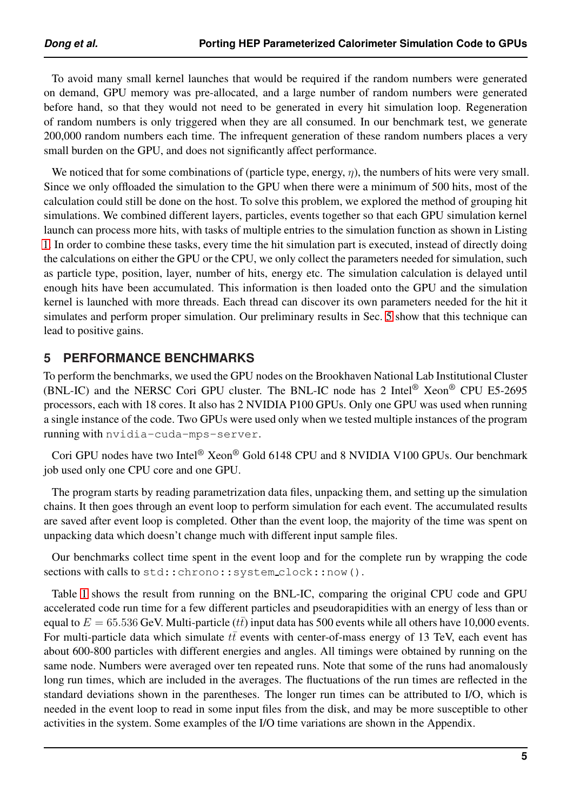To avoid many small kernel launches that would be required if the random numbers were generated on demand, GPU memory was pre-allocated, and a large number of random numbers were generated before hand, so that they would not need to be generated in every hit simulation loop. Regeneration of random numbers is only triggered when they are all consumed. In our benchmark test, we generate 200,000 random numbers each time. The infrequent generation of these random numbers places a very small burden on the GPU, and does not significantly affect performance.

We noticed that for some combinations of (particle type, energy,  $\eta$ ), the numbers of hits were very small. Since we only offloaded the simulation to the GPU when there were a minimum of 500 hits, most of the calculation could still be done on the host. To solve this problem, we explored the method of grouping hit simulations. We combined different layers, particles, events together so that each GPU simulation kernel launch can process more hits, with tasks of multiple entries to the simulation function as shown in Listing [1.](#page-2-0) In order to combine these tasks, every time the hit simulation part is executed, instead of directly doing the calculations on either the GPU or the CPU, we only collect the parameters needed for simulation, such as particle type, position, layer, number of hits, energy etc. The simulation calculation is delayed until enough hits have been accumulated. This information is then loaded onto the GPU and the simulation kernel is launched with more threads. Each thread can discover its own parameters needed for the hit it simulates and perform proper simulation. Our preliminary results in Sec. [5](#page-4-0) show that this technique can lead to positive gains.

## <span id="page-4-0"></span>**5 PERFORMANCE BENCHMARKS**

To perform the benchmarks, we used the GPU nodes on the Brookhaven National Lab Institutional Cluster (BNL-IC) and the NERSC Cori GPU cluster. The BNL-IC node has 2 Intel® Xeon® CPU E5-2695 processors, each with 18 cores. It also has 2 NVIDIA P100 GPUs. Only one GPU was used when running a single instance of the code. Two GPUs were used only when we tested multiple instances of the program running with nvidia-cuda-mps-server.

Cori GPU nodes have two Intel® Xeon® Gold 6148 CPU and 8 NVIDIA V100 GPUs. Our benchmark job used only one CPU core and one GPU.

The program starts by reading parametrization data files, unpacking them, and setting up the simulation chains. It then goes through an event loop to perform simulation for each event. The accumulated results are saved after event loop is completed. Other than the event loop, the majority of the time was spent on unpacking data which doesn't change much with different input sample files.

Our benchmarks collect time spent in the event loop and for the complete run by wrapping the code sections with calls to std:: chrono:: system\_clock::now().

Table [1](#page-5-0) shows the result from running on the BNL-IC, comparing the original CPU code and GPU accelerated code run time for a few different particles and pseudorapidities with an energy of less than or equal to  $E = 65.536$  GeV. Multi-particle ( $t\bar{t}$ ) input data has 500 events while all others have 10,000 events. For multi-particle data which simulate  $t\bar{t}$  events with center-of-mass energy of 13 TeV, each event has about 600-800 particles with different energies and angles. All timings were obtained by running on the same node. Numbers were averaged over ten repeated runs. Note that some of the runs had anomalously long run times, which are included in the averages. The fluctuations of the run times are reflected in the standard deviations shown in the parentheses. The longer run times can be attributed to I/O, which is needed in the event loop to read in some input files from the disk, and may be more susceptible to other activities in the system. Some examples of the I/O time variations are shown in the Appendix.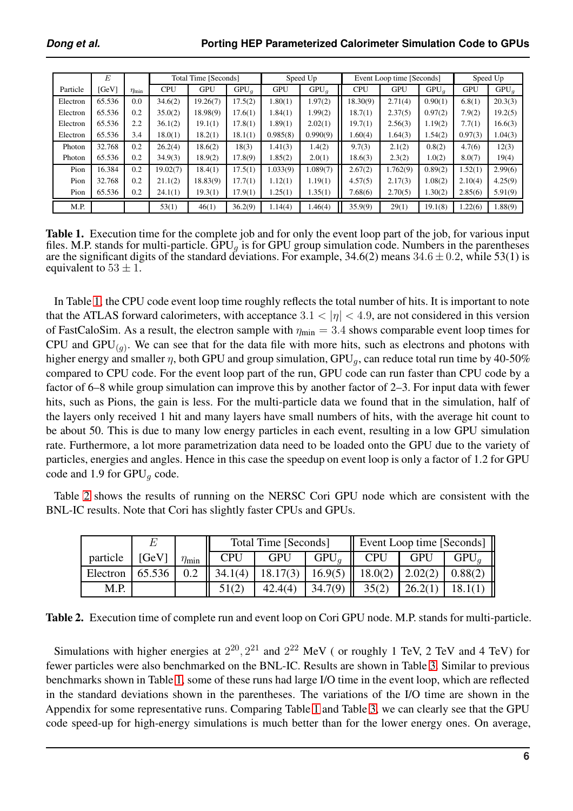<span id="page-5-0"></span>

|          | E      |               | Total Time [Seconds] |            | Speed Up |            |          | Event Loop time [Seconds] | Speed Up   |         |            |         |
|----------|--------|---------------|----------------------|------------|----------|------------|----------|---------------------------|------------|---------|------------|---------|
| Particle | [GeV]  | $\eta_{\min}$ | <b>CPU</b>           | <b>GPU</b> | $GPU_a$  | <b>GPU</b> | $GPU_q$  | <b>CPU</b>                | <b>GPU</b> | $GPU_g$ | <b>GPU</b> | $GPU_a$ |
| Electron | 65.536 | 0.0           | 34.6(2)              | 19.26(7)   | 17.5(2)  | 1.80(1)    | 1.97(2)  | 18.30(9)                  | 2.71(4)    | 0.90(1) | 6.8(1)     | 20.3(3) |
| Electron | 65.536 | 0.2           | 35.0(2)              | 18.98(9)   | 17.6(1)  | 1.84(1)    | 1.99(2)  | 18.7(1)                   | 2.37(5)    | 0.97(2) | 7.9(2)     | 19.2(5) |
| Electron | 65.536 | 2.2           | 36.1(2)              | 19.1(1)    | 17.8(1)  | 1.89(1)    | 2.02(1)  | 19.7(1)                   | 2.56(3)    | 1.19(2) | 7.7(1)     | 16.6(3) |
| Electron | 65.536 | 3.4           | 18.0(1)              | 18.2(1)    | 18.1(1)  | 0.985(8)   | 0.990(9) | 1.60(4)                   | 1.64(3)    | 1.54(2) | 0.97(3)    | 1.04(3) |
| Photon   | 32.768 | 0.2           | 26.2(4)              | 18.6(2)    | 18(3)    | 1.41(3)    | 1.4(2)   | 9.7(3)                    | 2.1(2)     | 0.8(2)  | 4.7(6)     | 12(3)   |
| Photon   | 65.536 | 0.2           | 34.9(3)              | 18.9(2)    | 17.8(9)  | 1.85(2)    | 2.0(1)   | 18.6(3)                   | 2.3(2)     | 1.0(2)  | 8.0(7)     | 19(4)   |
| Pion     | 16.384 | 0.2           | 19.02(7)             | 18.4(1)    | 17.5(1)  | 1.033(9)   | 1.089(7) | 2.67(2)                   | 1.762(9)   | 0.89(2) | 1.52(1)    | 2.99(6) |
| Pion     | 32.768 | 0.2           | 21.1(2)              | 18.83(9)   | 17.7(1)  | 1.12(1)    | 1.19(1)  | 4.57(5)                   | 2.17(3)    | 1.08(2) | 2.10(4)    | 4.25(9) |
| Pion     | 65.536 | 0.2           | 24.1(1)              | 19.3(1)    | 17.9(1)  | 1.25(1)    | 1.35(1)  | 7.68(6)                   | 2.70(5)    | 1.30(2) | 2.85(6)    | 5.91(9) |
| M.P.     |        |               | 53(1)                | 46(1)      | 36.2(9)  | 1.14(4)    | 1.46(4)  | 35.9(9)                   | 29(1)      | 19.1(8) | 1.22(6)    | 1.88(9) |

Table 1. Execution time for the complete job and for only the event loop part of the job, for various input files. M.P. stands for multi-particle. GPU<sub>g</sub> is for GPU group simulation code. Numbers in the parentheses are the significant digits of the standard deviations. For example,  $34.6(2)$  means  $34.6 \pm 0.2$ , while  $53(1)$  is equivalent to  $53 \pm 1$ .

In Table [1,](#page-5-0) the CPU code event loop time roughly reflects the total number of hits. It is important to note that the ATLAS forward calorimeters, with acceptance  $3.1 < |\eta| < 4.9$ , are not considered in this version of FastCaloSim. As a result, the electron sample with  $\eta_{\text{min}} = 3.4$  shows comparable event loop times for CPU and  $GPU_{(g)}$ . We can see that for the data file with more hits, such as electrons and photons with higher energy and smaller  $\eta$ , both GPU and group simulation, GPU<sub>q</sub>, can reduce total run time by 40-50% compared to CPU code. For the event loop part of the run, GPU code can run faster than CPU code by a factor of 6–8 while group simulation can improve this by another factor of 2–3. For input data with fewer hits, such as Pions, the gain is less. For the multi-particle data we found that in the simulation, half of the layers only received 1 hit and many layers have small numbers of hits, with the average hit count to be about 50. This is due to many low energy particles in each event, resulting in a low GPU simulation rate. Furthermore, a lot more parametrization data need to be loaded onto the GPU due to the variety of particles, energies and angles. Hence in this case the speedup on event loop is only a factor of 1.2 for GPU code and 1.9 for  $GPU_q$  code.

<span id="page-5-1"></span>Table [2](#page-5-1) shows the results of running on the NERSC Cori GPU node which are consistent with the BNL-IC results. Note that Cori has slightly faster CPUs and GPUs.

|          |        |               |            | Total Time [Seconds] |         | Event Loop time [Seconds] |            |         |  |  |
|----------|--------|---------------|------------|----------------------|---------|---------------------------|------------|---------|--|--|
| particle | [GeV]  | $\eta_{\min}$ | <b>CPU</b> | <b>GPU</b>           | $GPU_a$ | CPU                       | <b>GPU</b> | $GPU_a$ |  |  |
| Electron | 65.536 | 0.2           | 34.1(4)    | 18.17(3)             | 16.9(5) | 18.0(2)                   | 2.02(2)    | 0.88(2) |  |  |
| M.P.     |        |               |            |                      | 34.7(9) | 35(2)                     |            |         |  |  |

Table 2. Execution time of complete run and event loop on Cori GPU node. M.P. stands for multi-particle.

Simulations with higher energies at  $2^{20}$ ,  $2^{21}$  and  $2^{22}$  MeV (or roughly 1 TeV, 2 TeV and 4 TeV) for fewer particles were also benchmarked on the BNL-IC. Results are shown in Table [3.](#page-6-0) Similar to previous benchmarks shown in Table [1,](#page-5-0) some of these runs had large I/O time in the event loop, which are reflected in the standard deviations shown in the parentheses. The variations of the I/O time are shown in the Appendix for some representative runs. Comparing Table [1](#page-5-0) and Table [3,](#page-6-0) we can clearly see that the GPU code speed-up for high-energy simulations is much better than for the lower energy ones. On average,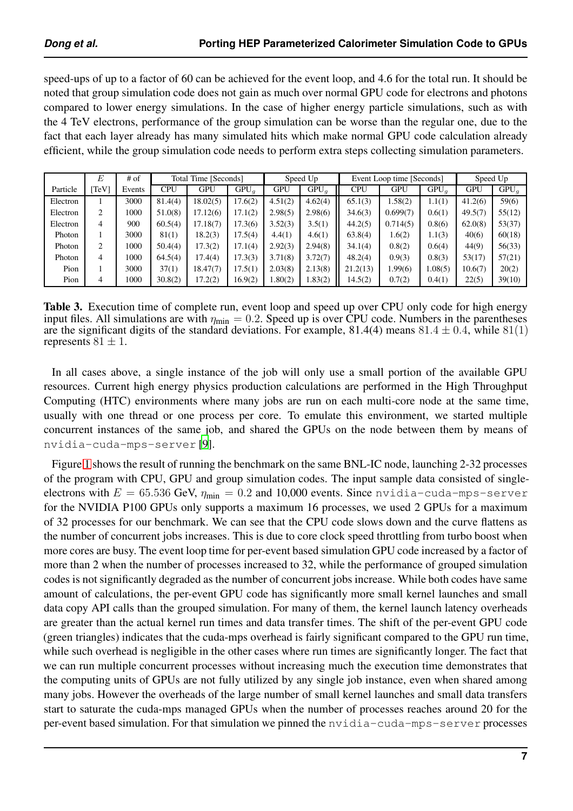speed-ups of up to a factor of 60 can be achieved for the event loop, and 4.6 for the total run. It should be noted that group simulation code does not gain as much over normal GPU code for electrons and photons compared to lower energy simulations. In the case of higher energy particle simulations, such as with the 4 TeV electrons, performance of the group simulation can be worse than the regular one, due to the fact that each layer already has many simulated hits which make normal GPU code calculation already efficient, while the group simulation code needs to perform extra steps collecting simulation parameters.

<span id="page-6-0"></span>

|          | E   | $#$ of | Total Time [Seconds] |            |         |            | Speed Up |          | Event Loop time [Seconds] | Speed Up |            |         |
|----------|-----|--------|----------------------|------------|---------|------------|----------|----------|---------------------------|----------|------------|---------|
| Particle | TeV | Events | <b>CPU</b>           | <b>GPU</b> | $GPU_a$ | <b>GPU</b> | $GPU_a$  | CPU      | <b>GPU</b>                | $GPU_q$  | <b>GPU</b> | $GPU_q$ |
| Electron |     | 3000   | 81.4(4)              | 18.02(5)   | 17.6(2) | 4.51(2)    | 4.62(4)  | 65.1(3)  | 1.58(2)                   | 1.1(1)   | 41.2(6)    | 59(6)   |
| Electron | 2   | 1000   | 51.0(8)              | 17.12(6)   | 17.1(2) | 2.98(5)    | 2.98(6)  | 34.6(3)  | 0.699(7)                  | 0.6(1)   | 49.5(7)    | 55(12)  |
| Electron | 4   | 900    | 60.5(4)              | 17.18(7)   | 17.3(6) | 3.52(3)    | 3.5(1)   | 44.2(5)  | 0.714(5)                  | 0.8(6)   | 62.0(8)    | 53(37)  |
| Photon   |     | 3000   | 81(1)                | 18.2(3)    | 17.5(4) | 4.4(1)     | 4.6(1)   | 63.8(4)  | 1.6(2)                    | 1.1(3)   | 40(6)      | 60(18)  |
| Photon   | 2   | 1000   | 50.4(4)              | 17.3(2)    | 17.1(4) | 2.92(3)    | 2.94(8)  | 34.1(4)  | 0.8(2)                    | 0.6(4)   | 44(9)      | 56(33)  |
| Photon   | 4   | 1000   | 64.5(4)              | 17.4(4)    | 17.3(3) | 3.71(8)    | 3.72(7)  | 48.2(4)  | 0.9(3)                    | 0.8(3)   | 53(17)     | 57(21)  |
| Pion     |     | 3000   | 37(1)                | 18.47(7)   | 17.5(1) | 2.03(8)    | 2.13(8)  | 21.2(13) | 1.99(6)                   | 0.08(5)  | 10.6(7)    | 20(2)   |
| Pion     | 4   | 1000   | 30.8(2)              | 17.2(2)    | 16.9(2) | .80(2)     | 1.83(2)  | 14.5(2)  | 0.7(2)                    | 0.4(1)   | 22(5)      | 39(10)  |

Table 3. Execution time of complete run, event loop and speed up over CPU only code for high energy input files. All simulations are with  $\eta_{\text{min}} = 0.2$ . Speed up is over CPU code. Numbers in the parentheses are the significant digits of the standard deviations. For example, 81.4(4) means  $81.4 \pm 0.4$ , while  $81(1)$ represents  $81 \pm 1$ .

In all cases above, a single instance of the job will only use a small portion of the available GPU resources. Current high energy physics production calculations are performed in the High Throughput Computing (HTC) environments where many jobs are run on each multi-core node at the same time, usually with one thread or one process per core. To emulate this environment, we started multiple concurrent instances of the same job, and shared the GPUs on the node between them by means of nvidia-cuda-mps-server [\[9](#page-13-8)].

Figure [1](#page-7-0) shows the result of running the benchmark on the same BNL-IC node, launching 2-32 processes of the program with CPU, GPU and group simulation codes. The input sample data consisted of singleelectrons with  $E = 65.536$  GeV,  $\eta_{\text{min}} = 0.2$  and 10,000 events. Since nvidia-cuda-mps-server for the NVIDIA P100 GPUs only supports a maximum 16 processes, we used 2 GPUs for a maximum of 32 processes for our benchmark. We can see that the CPU code slows down and the curve flattens as the number of concurrent jobs increases. This is due to core clock speed throttling from turbo boost when more cores are busy. The event loop time for per-event based simulation GPU code increased by a factor of more than 2 when the number of processes increased to 32, while the performance of grouped simulation codes is not significantly degraded as the number of concurrent jobs increase. While both codes have same amount of calculations, the per-event GPU code has significantly more small kernel launches and small data copy API calls than the grouped simulation. For many of them, the kernel launch latency overheads are greater than the actual kernel run times and data transfer times. The shift of the per-event GPU code (green triangles) indicates that the cuda-mps overhead is fairly significant compared to the GPU run time, while such overhead is negligible in the other cases where run times are significantly longer. The fact that we can run multiple concurrent processes without increasing much the execution time demonstrates that the computing units of GPUs are not fully utilized by any single job instance, even when shared among many jobs. However the overheads of the large number of small kernel launches and small data transfers start to saturate the cuda-mps managed GPUs when the number of processes reaches around 20 for the per-event based simulation. For that simulation we pinned the nvidia-cuda-mps-server processes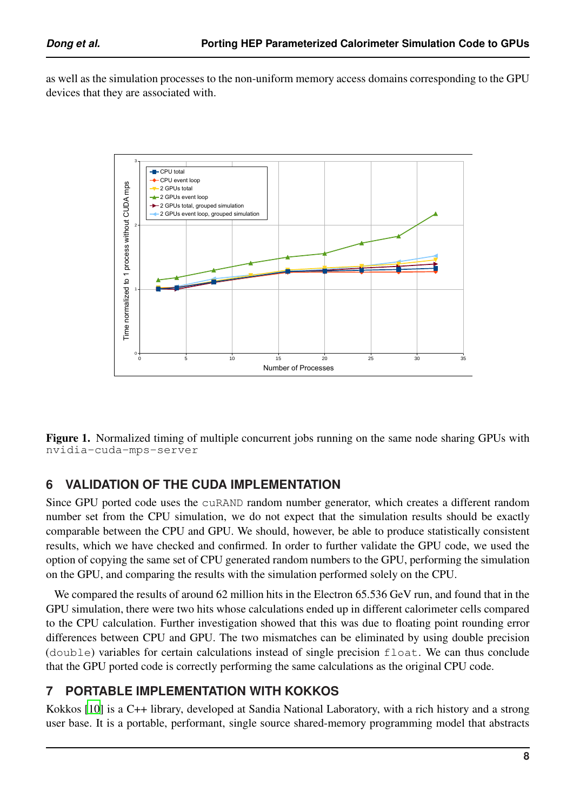<span id="page-7-0"></span>as well as the simulation processes to the non-uniform memory access domains corresponding to the GPU devices that they are associated with.



Figure 1. Normalized timing of multiple concurrent jobs running on the same node sharing GPUs with nvidia-cuda-mps-server

## **6 VALIDATION OF THE CUDA IMPLEMENTATION**

Since GPU ported code uses the cuRAND random number generator, which creates a different random number set from the CPU simulation, we do not expect that the simulation results should be exactly comparable between the CPU and GPU. We should, however, be able to produce statistically consistent results, which we have checked and confirmed. In order to further validate the GPU code, we used the option of copying the same set of CPU generated random numbers to the GPU, performing the simulation on the GPU, and comparing the results with the simulation performed solely on the CPU.

We compared the results of around 62 million hits in the Electron 65.536 GeV run, and found that in the GPU simulation, there were two hits whose calculations ended up in different calorimeter cells compared to the CPU calculation. Further investigation showed that this was due to floating point rounding error differences between CPU and GPU. The two mismatches can be eliminated by using double precision (double) variables for certain calculations instead of single precision float. We can thus conclude that the GPU ported code is correctly performing the same calculations as the original CPU code.

# **7 PORTABLE IMPLEMENTATION WITH KOKKOS**

Kokkos [\[10\]](#page-13-9) is a C++ library, developed at Sandia National Laboratory, with a rich history and a strong user base. It is a portable, performant, single source shared-memory programming model that abstracts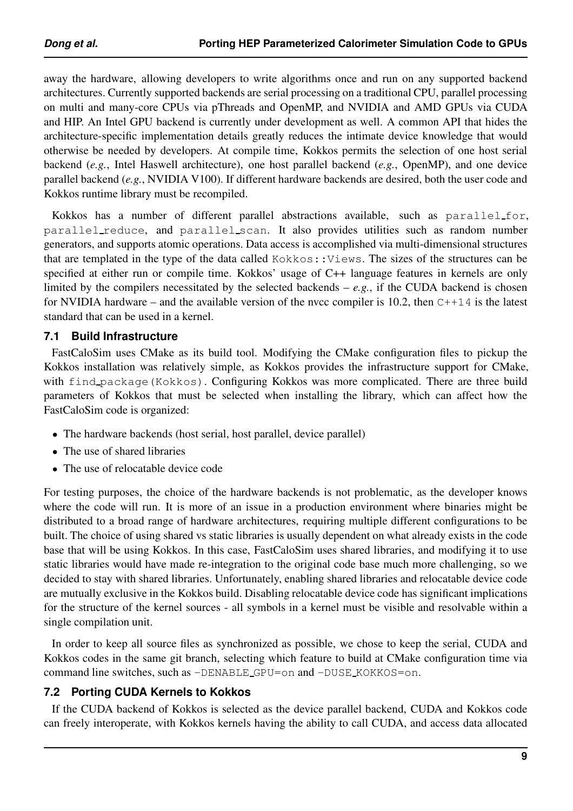away the hardware, allowing developers to write algorithms once and run on any supported backend architectures. Currently supported backends are serial processing on a traditional CPU, parallel processing on multi and many-core CPUs via pThreads and OpenMP, and NVIDIA and AMD GPUs via CUDA and HIP. An Intel GPU backend is currently under development as well. A common API that hides the architecture-specific implementation details greatly reduces the intimate device knowledge that would otherwise be needed by developers. At compile time, Kokkos permits the selection of one host serial backend (*e.g.*, Intel Haswell architecture), one host parallel backend (*e.g.*, OpenMP), and one device parallel backend (*e.g.*, NVIDIA V100). If different hardware backends are desired, both the user code and Kokkos runtime library must be recompiled.

Kokkos has a number of different parallel abstractions available, such as parallel for, parallel reduce, and parallel scan. It also provides utilities such as random number generators, and supports atomic operations. Data access is accomplished via multi-dimensional structures that are templated in the type of the data called Kokkos::Views. The sizes of the structures can be specified at either run or compile time. Kokkos' usage of C++ language features in kernels are only limited by the compilers necessitated by the selected backends  $-e.g.,$  if the CUDA backend is chosen for NVIDIA hardware – and the available version of the nvcc compiler is 10.2, then  $C+14$  is the latest standard that can be used in a kernel.

#### **7.1 Build Infrastructure**

FastCaloSim uses CMake as its build tool. Modifying the CMake configuration files to pickup the Kokkos installation was relatively simple, as Kokkos provides the infrastructure support for CMake, with find package (Kokkos). Configuring Kokkos was more complicated. There are three build parameters of Kokkos that must be selected when installing the library, which can affect how the FastCaloSim code is organized:

- The hardware backends (host serial, host parallel, device parallel)
- The use of shared libraries
- The use of relocatable device code

For testing purposes, the choice of the hardware backends is not problematic, as the developer knows where the code will run. It is more of an issue in a production environment where binaries might be distributed to a broad range of hardware architectures, requiring multiple different configurations to be built. The choice of using shared vs static libraries is usually dependent on what already exists in the code base that will be using Kokkos. In this case, FastCaloSim uses shared libraries, and modifying it to use static libraries would have made re-integration to the original code base much more challenging, so we decided to stay with shared libraries. Unfortunately, enabling shared libraries and relocatable device code are mutually exclusive in the Kokkos build. Disabling relocatable device code has significant implications for the structure of the kernel sources - all symbols in a kernel must be visible and resolvable within a single compilation unit.

In order to keep all source files as synchronized as possible, we chose to keep the serial, CUDA and Kokkos codes in the same git branch, selecting which feature to build at CMake configuration time via command line switches, such as  $\neg$ DENABLE\_GPU=on and  $\neg$ DUSE\_KOKKOS=on.

#### **7.2 Porting CUDA Kernels to Kokkos**

If the CUDA backend of Kokkos is selected as the device parallel backend, CUDA and Kokkos code can freely interoperate, with Kokkos kernels having the ability to call CUDA, and access data allocated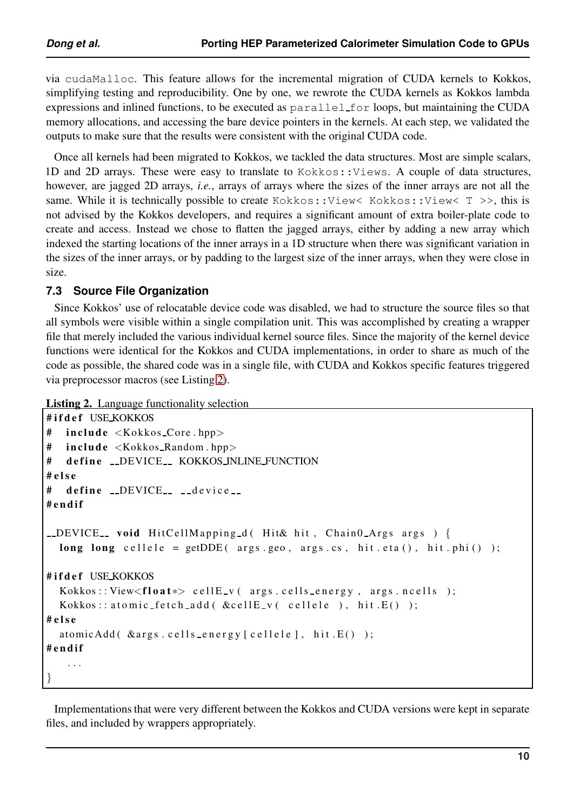via cudaMalloc. This feature allows for the incremental migration of CUDA kernels to Kokkos, simplifying testing and reproducibility. One by one, we rewrote the CUDA kernels as Kokkos lambda expressions and inlined functions, to be executed as parallel for loops, but maintaining the CUDA memory allocations, and accessing the bare device pointers in the kernels. At each step, we validated the outputs to make sure that the results were consistent with the original CUDA code.

Once all kernels had been migrated to Kokkos, we tackled the data structures. Most are simple scalars, 1D and 2D arrays. These were easy to translate to Kokkos::Views. A couple of data structures, however, are jagged 2D arrays, *i.e.*, arrays of arrays where the sizes of the inner arrays are not all the same. While it is technically possible to create Kokkos:: View< Kokkos:: View< T >>, this is not advised by the Kokkos developers, and requires a significant amount of extra boiler-plate code to create and access. Instead we chose to flatten the jagged arrays, either by adding a new array which indexed the starting locations of the inner arrays in a 1D structure when there was significant variation in the sizes of the inner arrays, or by padding to the largest size of the inner arrays, when they were close in size.

#### **7.3 Source File Organization**

Since Kokkos' use of relocatable device code was disabled, we had to structure the source files so that all symbols were visible within a single compilation unit. This was accomplished by creating a wrapper file that merely included the various individual kernel source files. Since the majority of the kernel device functions were identical for the Kokkos and CUDA implementations, in order to share as much of the code as possible, the shared code was in a single file, with CUDA and Kokkos specific features triggered via preprocessor macros (see Listing [2\)](#page-9-0).

```
Listing 2. Language functionality selection
```

```
#ifdef USE_KOKKOS
# include \langleKokkos_Core.hpp>
# include <Kokkos_Random.hpp>
# define _DEVICE_ KOKKOS_INLINE_FUNCTION
# e l s e
# define _DEVICE__ __device__
# e n d i f
\angleDEVICE \angle void HitCellMapping d (Hit& hit, Chain0 Args args) {
  long long c e l l e l e = getDDE ( a r g s . geo , a r g s . cs , h i t . e t a ( ) , h i t . p hi ( ) ) ;
#ifdef USE_KOKKOS
  Kokkos::View \leq float \gg cellE_v(args, cells_{energy}, args, n cells);
  Kokkos:: atomic_fetch_add (\&cellE_v (cellele), hit . E());
# e l s e
  atomicAdd ( &args . cells_energy [ cellele ], hit . E( ) );
# e n d i f
    . . .
}
```
Implementations that were very different between the Kokkos and CUDA versions were kept in separate files, and included by wrappers appropriately.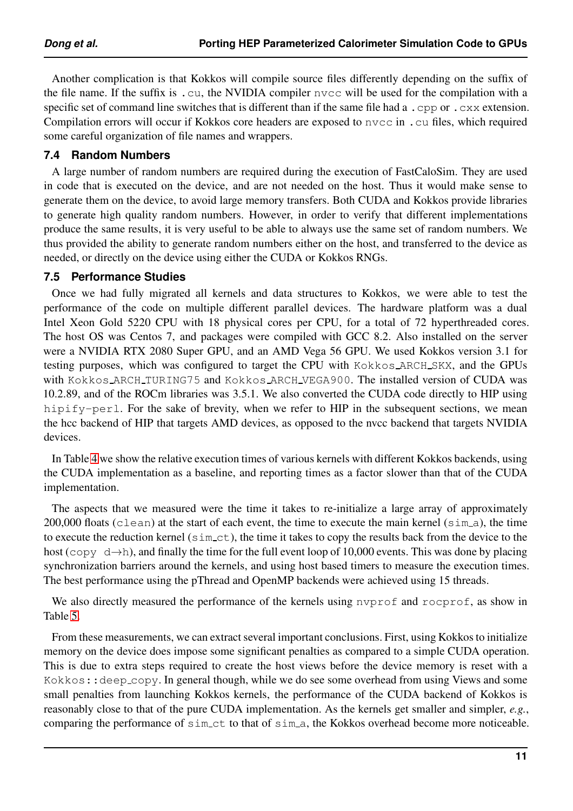Another complication is that Kokkos will compile source files differently depending on the suffix of the file name. If the suffix is .cu, the NVIDIA compiler nvcc will be used for the compilation with a specific set of command line switches that is different than if the same file had a .cpp or .cxx extension. Compilation errors will occur if Kokkos core headers are exposed to nvcc in .cu files, which required some careful organization of file names and wrappers.

#### **7.4 Random Numbers**

A large number of random numbers are required during the execution of FastCaloSim. They are used in code that is executed on the device, and are not needed on the host. Thus it would make sense to generate them on the device, to avoid large memory transfers. Both CUDA and Kokkos provide libraries to generate high quality random numbers. However, in order to verify that different implementations produce the same results, it is very useful to be able to always use the same set of random numbers. We thus provided the ability to generate random numbers either on the host, and transferred to the device as needed, or directly on the device using either the CUDA or Kokkos RNGs.

#### **7.5 Performance Studies**

Once we had fully migrated all kernels and data structures to Kokkos, we were able to test the performance of the code on multiple different parallel devices. The hardware platform was a dual Intel Xeon Gold 5220 CPU with 18 physical cores per CPU, for a total of 72 hyperthreaded cores. The host OS was Centos 7, and packages were compiled with GCC 8.2. Also installed on the server were a NVIDIA RTX 2080 Super GPU, and an AMD Vega 56 GPU. We used Kokkos version 3.1 for testing purposes, which was configured to target the CPU with Kokkos ARCH SKX, and the GPUs with Kokkos ARCH TURING75 and Kokkos ARCH VEGA900. The installed version of CUDA was 10.2.89, and of the ROCm libraries was 3.5.1. We also converted the CUDA code directly to HIP using hipify-perl. For the sake of brevity, when we refer to HIP in the subsequent sections, we mean the hcc backend of HIP that targets AMD devices, as opposed to the nvcc backend that targets NVIDIA devices.

In Table [4](#page-11-0) we show the relative execution times of various kernels with different Kokkos backends, using the CUDA implementation as a baseline, and reporting times as a factor slower than that of the CUDA implementation.

The aspects that we measured were the time it takes to re-initialize a large array of approximately 200,000 floats (clean) at the start of each event, the time to execute the main kernel ( $\sin a$ ), the time to execute the reduction kernel (sim ct), the time it takes to copy the results back from the device to the host (copy  $d\rightarrow h$ ), and finally the time for the full event loop of 10,000 events. This was done by placing synchronization barriers around the kernels, and using host based timers to measure the execution times. The best performance using the pThread and OpenMP backends were achieved using 15 threads.

We also directly measured the performance of the kernels using nyprof and rocprof, as show in Table [5.](#page-11-1)

From these measurements, we can extract several important conclusions. First, using Kokkos to initialize memory on the device does impose some significant penalties as compared to a simple CUDA operation. This is due to extra steps required to create the host views before the device memory is reset with a Kokkos:: deep copy. In general though, while we do see some overhead from using Views and some small penalties from launching Kokkos kernels, the performance of the CUDA backend of Kokkos is reasonably close to that of the pure CUDA implementation. As the kernels get smaller and simpler, *e.g.*, comparing the performance of sim\_ct to that of sim\_a, the Kokkos overhead become more noticeable.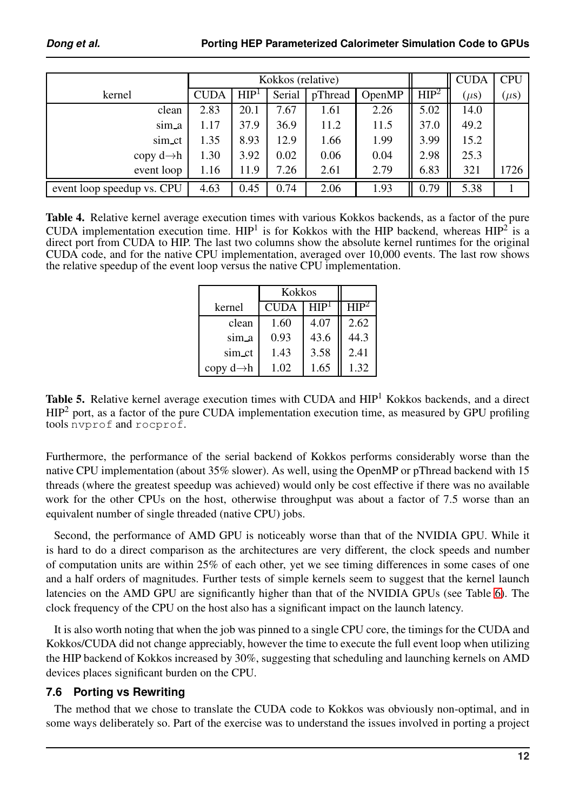<span id="page-11-0"></span>

|                            | Kokkos (relative) |                  |        |         |        |                  | <b>CUDA</b> | <b>CPU</b> |
|----------------------------|-------------------|------------------|--------|---------|--------|------------------|-------------|------------|
| kernel                     | <b>CUDA</b>       | HIP <sup>1</sup> | Serial | pThread | OpenMP | HIP <sup>2</sup> | $(\mu s)$   | $(\mu s)$  |
| clean                      | 2.83              | 20.1             | 7.67   | 1.61    | 2.26   | 5.02             | 14.0        |            |
| sim_a                      | 1.17              | 37.9             | 36.9   | 11.2    | 11.5   | 37.0             | 49.2        |            |
| sim_ct                     | 1.35              | 8.93             | 12.9   | 1.66    | 1.99   | 3.99             | 15.2        |            |
| copy $d \rightarrow h$     | 1.30              | 3.92             | 0.02   | 0.06    | 0.04   | 2.98             | 25.3        |            |
| event loop                 | 1.16              | 11.9             | 7.26   | 2.61    | 2.79   | 6.83             | 321         | 1726       |
| event loop speedup vs. CPU | 4.63              | 0.45             | 0.74   | 2.06    | 1.93   | 0.79             | 5.38        |            |

<span id="page-11-1"></span>Table 4. Relative kernel average execution times with various Kokkos backends, as a factor of the pure CUDA implementation execution time.  $HP<sup>1</sup>$  is for Kokkos with the HIP backend, whereas  $HP<sup>2</sup>$  is a direct port from CUDA to HIP. The last two columns show the absolute kernel runtimes for the original CUDA code, and for the native CPU implementation, averaged over 10,000 events. The last row shows the relative speedup of the event loop versus the native CPU implementation.

|                        | <b>Kokkos</b> |               |                 |
|------------------------|---------------|---------------|-----------------|
| kernel                 | <b>CUDA</b>   | ${\rm HIP^1}$ | HP <sup>2</sup> |
| clean                  | 1.60          | 4.07          | 2.62            |
| sim_a                  | 0.93          | 43.6          | 44.3            |
| sim_ct                 | 1.43          | 3.58          | 2.41            |
| copy $d \rightarrow h$ | 1.02          | 1.65          | 1.32            |

Table 5. Relative kernel average execution times with CUDA and HIP<sup>1</sup> Kokkos backends, and a direct  $HIP<sup>2</sup>$  port, as a factor of the pure CUDA implementation execution time, as measured by GPU profiling tools nvprof and rocprof.

Furthermore, the performance of the serial backend of Kokkos performs considerably worse than the native CPU implementation (about 35% slower). As well, using the OpenMP or pThread backend with 15 threads (where the greatest speedup was achieved) would only be cost effective if there was no available work for the other CPUs on the host, otherwise throughput was about a factor of 7.5 worse than an equivalent number of single threaded (native CPU) jobs.

Second, the performance of AMD GPU is noticeably worse than that of the NVIDIA GPU. While it is hard to do a direct comparison as the architectures are very different, the clock speeds and number of computation units are within 25% of each other, yet we see timing differences in some cases of one and a half orders of magnitudes. Further tests of simple kernels seem to suggest that the kernel launch latencies on the AMD GPU are significantly higher than that of the NVIDIA GPUs (see Table [6\)](#page-12-0). The clock frequency of the CPU on the host also has a significant impact on the launch latency.

It is also worth noting that when the job was pinned to a single CPU core, the timings for the CUDA and Kokkos/CUDA did not change appreciably, however the time to execute the full event loop when utilizing the HIP backend of Kokkos increased by 30%, suggesting that scheduling and launching kernels on AMD devices places significant burden on the CPU.

## **7.6 Porting vs Rewriting**

The method that we chose to translate the CUDA code to Kokkos was obviously non-optimal, and in some ways deliberately so. Part of the exercise was to understand the issues involved in porting a project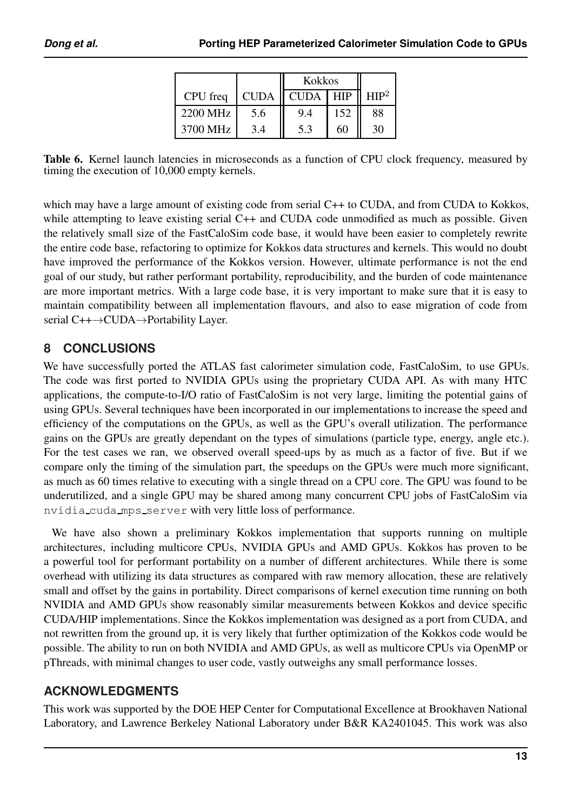|          |             | <b>Kokkos</b> |            |                 |
|----------|-------------|---------------|------------|-----------------|
| CPU freq | <b>CUDA</b> | <b>CUDA</b>   | <b>HIP</b> | HP <sup>2</sup> |
| 2200 MHz | 5.6         | 9.4           | 152        | 88              |
| 3700 MHz | 3.4         |               | 60         | 30              |

<span id="page-12-0"></span>Table 6. Kernel launch latencies in microseconds as a function of CPU clock frequency, measured by timing the execution of 10,000 empty kernels.

which may have a large amount of existing code from serial C++ to CUDA, and from CUDA to Kokkos, while attempting to leave existing serial C++ and CUDA code unmodified as much as possible. Given the relatively small size of the FastCaloSim code base, it would have been easier to completely rewrite the entire code base, refactoring to optimize for Kokkos data structures and kernels. This would no doubt have improved the performance of the Kokkos version. However, ultimate performance is not the end goal of our study, but rather performant portability, reproducibility, and the burden of code maintenance are more important metrics. With a large code base, it is very important to make sure that it is easy to maintain compatibility between all implementation flavours, and also to ease migration of code from serial C++→CUDA→Portability Layer.

# **8 CONCLUSIONS**

We have successfully ported the ATLAS fast calorimeter simulation code, FastCaloSim, to use GPUs. The code was first ported to NVIDIA GPUs using the proprietary CUDA API. As with many HTC applications, the compute-to-I/O ratio of FastCaloSim is not very large, limiting the potential gains of using GPUs. Several techniques have been incorporated in our implementations to increase the speed and efficiency of the computations on the GPUs, as well as the GPU's overall utilization. The performance gains on the GPUs are greatly dependant on the types of simulations (particle type, energy, angle etc.). For the test cases we ran, we observed overall speed-ups by as much as a factor of five. But if we compare only the timing of the simulation part, the speedups on the GPUs were much more significant, as much as 60 times relative to executing with a single thread on a CPU core. The GPU was found to be underutilized, and a single GPU may be shared among many concurrent CPU jobs of FastCaloSim via nvidia cuda mps server with very little loss of performance.

We have also shown a preliminary Kokkos implementation that supports running on multiple architectures, including multicore CPUs, NVIDIA GPUs and AMD GPUs. Kokkos has proven to be a powerful tool for performant portability on a number of different architectures. While there is some overhead with utilizing its data structures as compared with raw memory allocation, these are relatively small and offset by the gains in portability. Direct comparisons of kernel execution time running on both NVIDIA and AMD GPUs show reasonably similar measurements between Kokkos and device specific CUDA/HIP implementations. Since the Kokkos implementation was designed as a port from CUDA, and not rewritten from the ground up, it is very likely that further optimization of the Kokkos code would be possible. The ability to run on both NVIDIA and AMD GPUs, as well as multicore CPUs via OpenMP or pThreads, with minimal changes to user code, vastly outweighs any small performance losses.

## **ACKNOWLEDGMENTS**

This work was supported by the DOE HEP Center for Computational Excellence at Brookhaven National Laboratory, and Lawrence Berkeley National Laboratory under B&R KA2401045. This work was also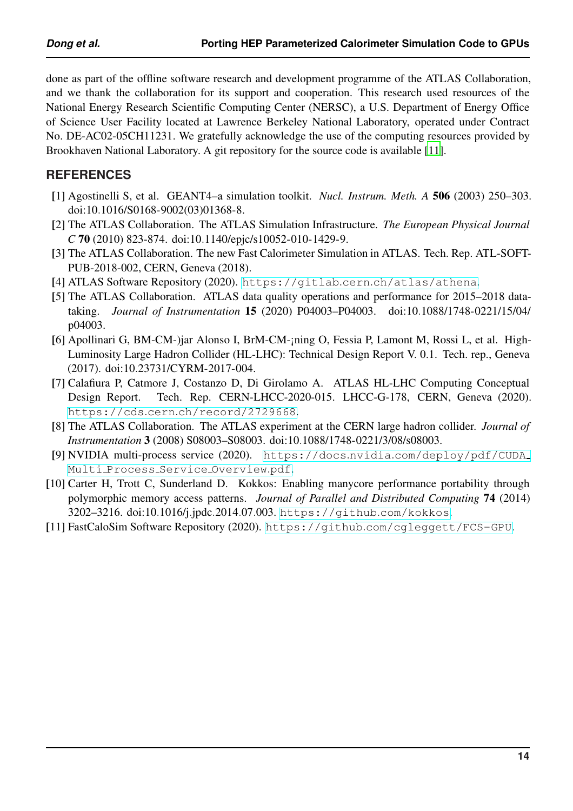done as part of the offline software research and development programme of the ATLAS Collaboration, and we thank the collaboration for its support and cooperation. This research used resources of the National Energy Research Scientific Computing Center (NERSC), a U.S. Department of Energy Office of Science User Facility located at Lawrence Berkeley National Laboratory, operated under Contract No. DE-AC02-05CH11231. We gratefully acknowledge the use of the computing resources provided by Brookhaven National Laboratory. A git repository for the source code is available [\[11\]](#page-13-10).

#### **REFERENCES**

- <span id="page-13-0"></span>[1] Agostinelli S, et al. GEANT4–a simulation toolkit. *Nucl. Instrum. Meth. A* 506 (2003) 250–303. doi:10.1016/S0168-9002(03)01368-8.
- <span id="page-13-1"></span>[2] The ATLAS Collaboration. The ATLAS Simulation Infrastructure. *The European Physical Journal C* 70 (2010) 823-874. doi:10.1140/epjc/s10052-010-1429-9.
- <span id="page-13-2"></span>[3] The ATLAS Collaboration. The new Fast Calorimeter Simulation in ATLAS. Tech. Rep. ATL-SOFT-PUB-2018-002, CERN, Geneva (2018).
- <span id="page-13-3"></span>[4] ATLAS Software Repository (2020). https://gitlab.cern.[ch/atlas/athena](https://gitlab.cern.ch/atlas/athena).
- <span id="page-13-4"></span>[5] The ATLAS Collaboration. ATLAS data quality operations and performance for 2015–2018 datataking. *Journal of Instrumentation* 15 (2020) P04003–P04003. doi:10.1088/1748-0221/15/04/ p04003.
- <span id="page-13-5"></span>[6] Apollinari G, BM-CM-)jar Alonso I, BrM-CM-¡ning O, Fessia P, Lamont M, Rossi L, et al. High-Luminosity Large Hadron Collider (HL-LHC): Technical Design Report V. 0.1. Tech. rep., Geneva (2017). doi:10.23731/CYRM-2017-004.
- <span id="page-13-6"></span>[7] Calafiura P, Catmore J, Costanzo D, Di Girolamo A. ATLAS HL-LHC Computing Conceptual Design Report. Tech. Rep. CERN-LHCC-2020-015. LHCC-G-178, CERN, Geneva (2020). https://cds.cern.[ch/record/2729668](https://cds.cern.ch/record/2729668).
- <span id="page-13-7"></span>[8] The ATLAS Collaboration. The ATLAS experiment at the CERN large hadron collider. *Journal of Instrumentation* 3 (2008) S08003–S08003. doi:10.1088/1748-0221/3/08/s08003.
- <span id="page-13-8"></span>[9] NVIDIA multi-process service (2020). https://docs.nvidia.[com/deploy/pdf/CUDA](https://docs.nvidia.com/deploy/pdf/CUDA_Multi_Process_Service_Overview.pdf) Multi Process Service [Overview](https://docs.nvidia.com/deploy/pdf/CUDA_Multi_Process_Service_Overview.pdf).pdf.
- <span id="page-13-9"></span>[10] Carter H, Trott C, Sunderland D. Kokkos: Enabling manycore performance portability through polymorphic memory access patterns. *Journal of Parallel and Distributed Computing* 74 (2014) 3202–3216. doi:10.1016/j.jpdc.2014.07.003. [https://github](https://github.com/kokkos).com/kokkos.
- <span id="page-13-10"></span>[11] FastCaloSim Software Repository (2020). https://github.[com/cgleggett/FCS-GPU](https://github.com/cgleggett/FCS-GPU).